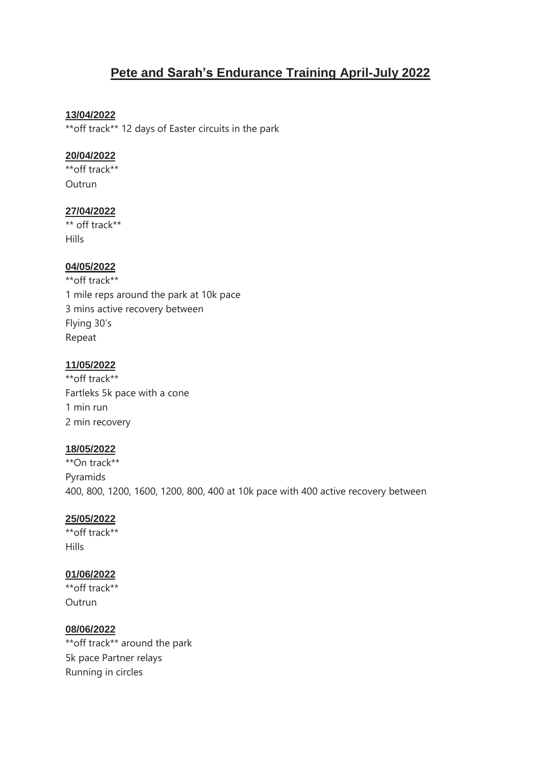# **Pete and Sarah's Endurance Training April-July 2022**

#### **13/04/2022**

\*\*off track\*\* 12 days of Easter circuits in the park

#### **20/04/2022**

\*\*off track\*\* **Outrun** 

# **27/04/2022**

\*\* off track\*\* **Hills** 

#### **04/05/2022**

\*\*off track\*\* 1 mile reps around the park at 10k pace 3 mins active recovery between Flying 30's Repeat

#### **11/05/2022**

\*\*off track\*\* Fartleks 5k pace with a cone 1 min run 2 min recovery

# **18/05/2022**

\*\*On track\*\* Pyramids 400, 800, 1200, 1600, 1200, 800, 400 at 10k pace with 400 active recovery between

# **25/05/2022**

\*\*off track\*\* Hills

# **01/06/2022**

\*\*off track\*\* Outrun

# **08/06/2022**

\*\*off track\*\* around the park 5k pace Partner relays Running in circles